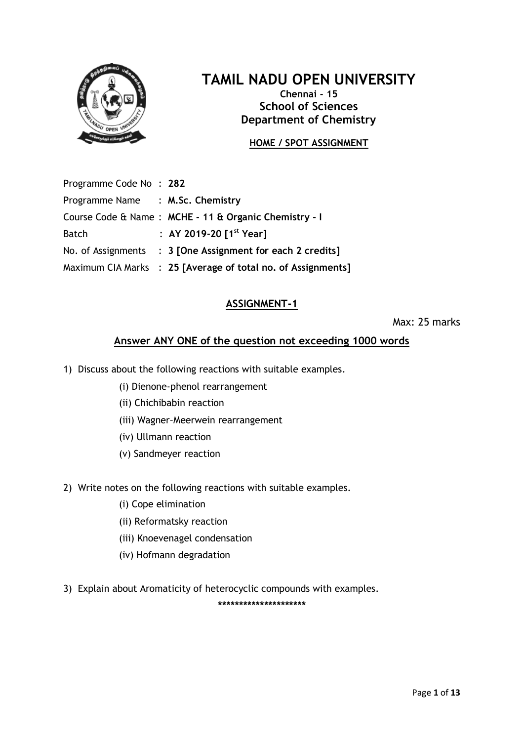

**Chennai - 15 School of Sciences Department of Chemistry**

# **HOME / SPOT ASSIGNMENT**

Programme Code No : **282**

| No. of Assignments : 3 [One Assignment for each 2 credits]   |
|--------------------------------------------------------------|
| Maximum CIA Marks : 25 [Average of total no. of Assignments] |
|                                                              |

# **ASSIGNMENT-1**

Max: 25 marks

### **Answer ANY ONE of the question not exceeding 1000 words**

- 1) Discuss about the following reactions with suitable examples.
	- (i) Dienone-phenol rearrangement
	- (ii) Chichibabin reaction
	- (iii) Wagner–Meerwein rearrangement
	- (iv) Ullmann reaction
	- (v) Sandmeyer reaction
- 2) Write notes on the following reactions with suitable examples.
	- (i) Cope elimination
	- (ii) Reformatsky reaction
	- (iii) Knoevenagel condensation
	- (iv) Hofmann degradation
- 3) Explain about Aromaticity of heterocyclic compounds with examples.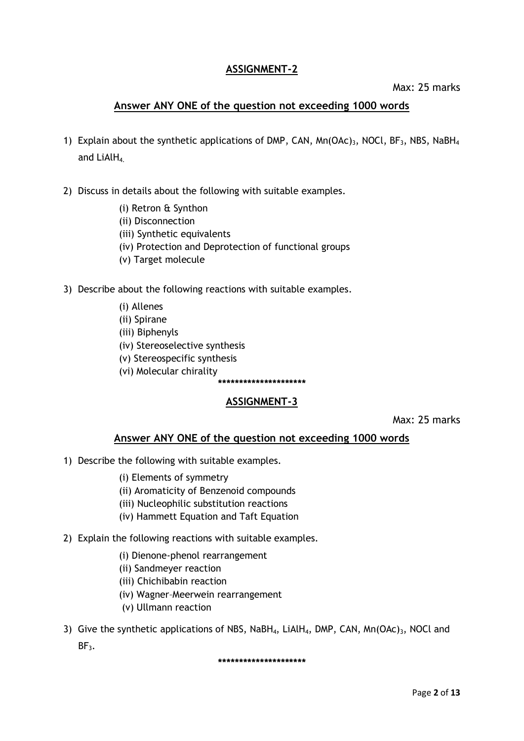# **ASSIGNMENT-2**

#### Max: 25 marks

# **Answer ANY ONE of the question not exceeding 1000 words**

- 1) Explain about the synthetic applications of DMP, CAN,  $Mn(OAC)$ <sub>3</sub>, NOCl, BF<sub>3</sub>, NBS, NaBH<sub>4</sub> and  $LiAlH<sub>4</sub>$ .
- 2) Discuss in details about the following with suitable examples.
	- (i) Retron & Synthon
	- (ii) Disconnection
	- (iii) Synthetic equivalents
	- (iv) Protection and Deprotection of functional groups
	- (v) Target molecule
- 3) Describe about the following reactions with suitable examples.
	- (i) Allenes
	- (ii) Spirane
	- (iii) Biphenyls
	- (iv) Stereoselective synthesis
	- (v) Stereospecific synthesis
	- (vi) Molecular chirality **\*\*\*\*\*\*\*\*\*\*\*\*\*\*\*\*\*\*\*\*\***

# **ASSIGNMENT-3**

Max: 25 marks

#### **Answer ANY ONE of the question not exceeding 1000 words**

- 1) Describe the following with suitable examples.
	- (i) Elements of symmetry
	- (ii) Aromaticity of Benzenoid compounds
	- (iii) Nucleophilic substitution reactions
	- (iv) Hammett Equation and Taft Equation
- 2) Explain the following reactions with suitable examples.
	- (i) Dienone-phenol rearrangement
	- (ii) Sandmeyer reaction
	- (iii) Chichibabin reaction
	- (iv) Wagner–Meerwein rearrangement
	- (v) Ullmann reaction
- 3) Give the synthetic applications of NBS, NaBH<sub>4</sub>, LiAlH<sub>4</sub>, DMP, CAN, Mn(OAc)<sub>3</sub>, NOCl and  $BF<sub>3</sub>$ .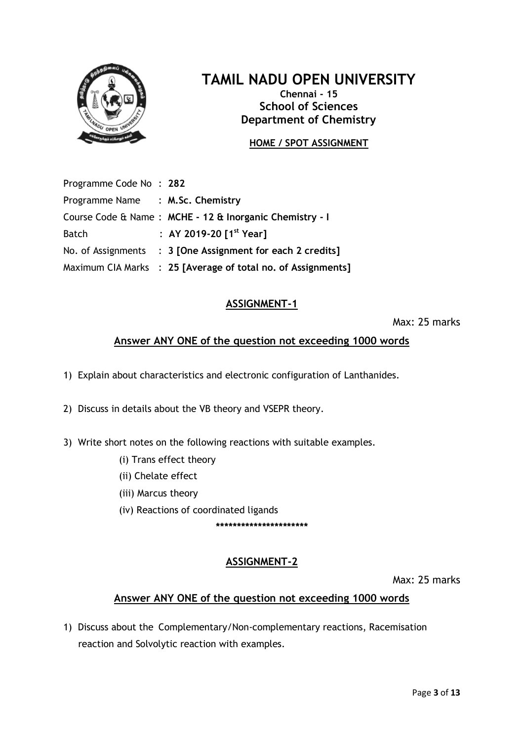

**Chennai - 15 School of Sciences Department of Chemistry**

# **HOME / SPOT ASSIGNMENT**

Programme Code No : **282** Programme Name : **M.Sc. Chemistry** Course Code & Name : **MCHE - 12 & Inorganic Chemistry - I** Batch : **AY 2019-20 [1 st Year]** No. of Assignments : **3 [One Assignment for each 2 credits]** Maximum CIA Marks : **25 [Average of total no. of Assignments]**

# **ASSIGNMENT-1**

Max: 25 marks

# **Answer ANY ONE of the question not exceeding 1000 words**

1) Explain about characteristics and electronic configuration of Lanthanides.

- 2) Discuss in details about the VB theory and VSEPR theory.
- 3) Write short notes on the following reactions with suitable examples.
	- (i) Trans effect theory
	- (ii) Chelate effect
	- (iii) Marcus theory
	- (iv) Reactions of coordinated ligands

**\*\*\*\*\*\*\*\*\*\*\*\*\*\*\*\*\*\*\*\*\*\***

# **ASSIGNMENT-2**

Max: 25 marks

# **Answer ANY ONE of the question not exceeding 1000 words**

1) Discuss about the Complementary/Non-complementary reactions, Racemisation reaction and Solvolytic reaction with examples.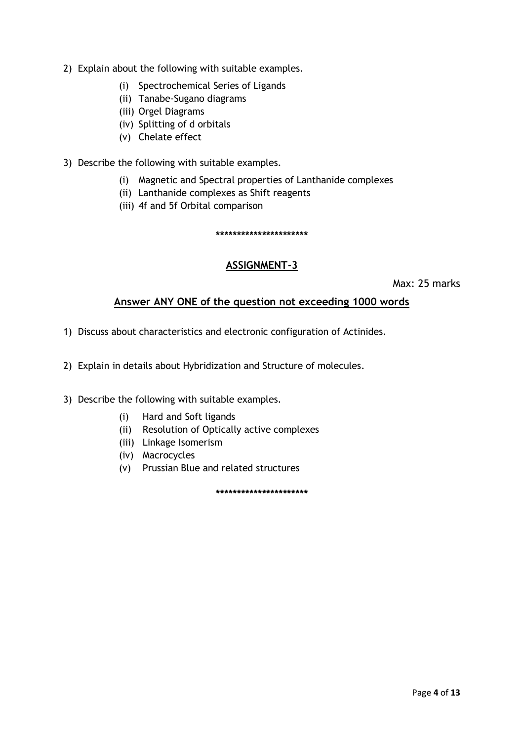- 2) Explain about the following with suitable examples.
	- (i) Spectrochemical Series of Ligands
	- (ii) Tanabe-Sugano diagrams
	- (iii) Orgel Diagrams
	- (iv) Splitting of d orbitals
	- (v) Chelate effect
- 3) Describe the following with suitable examples.
	- (i) Magnetic and Spectral properties of Lanthanide complexes
	- (ii) Lanthanide complexes as Shift reagents
	- (iii) 4f and 5f Orbital comparison

**\*\*\*\*\*\*\*\*\*\*\*\*\*\*\*\*\*\*\*\*\*\***

# **ASSIGNMENT-3**

Max: 25 marks

### **Answer ANY ONE of the question not exceeding 1000 words**

- 1) Discuss about characteristics and electronic configuration of Actinides.
- 2) Explain in details about Hybridization and Structure of molecules.
- 3) Describe the following with suitable examples.
	- (i) Hard and Soft ligands
	- (ii) Resolution of Optically active complexes
	- (iii) Linkage Isomerism
	- (iv) Macrocycles
	- (v) Prussian Blue and related structures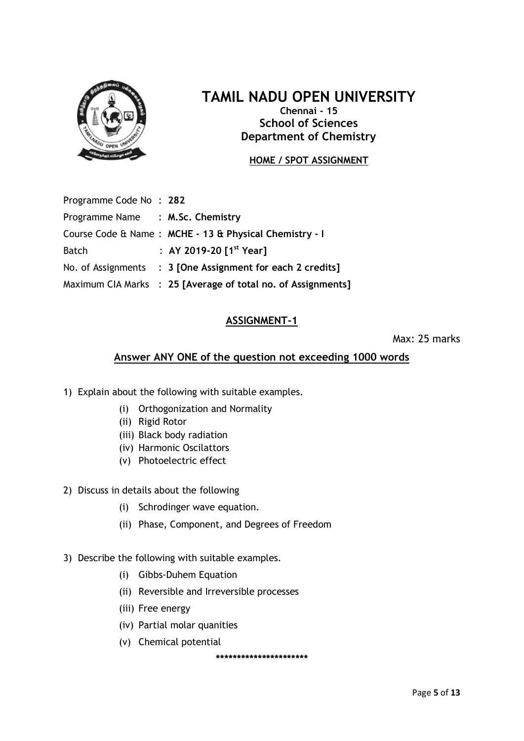

**Chennai - 15 School of Sciences Department of Chemistry**

### **HOME / SPOT ASSIGNMENT**

| Programme Code No: 282           |                                                              |
|----------------------------------|--------------------------------------------------------------|
| Programme Name : M.Sc. Chemistry |                                                              |
|                                  | Course Code & Name: MCHE - 13 & Physical Chemistry - I       |
| <b>Batch</b>                     | : AY 2019-20 $1^{st}$ Year]                                  |
|                                  | No. of Assignments : 3 [One Assignment for each 2 credits]   |
|                                  | Maximum CIA Marks : 25 [Average of total no. of Assignments] |

# **ASSIGNMENT-1**

Max: 25 marks

# **Answer ANY ONE of the question not exceeding 1000 words**

- 1) Explain about the following with suitable examples.
	- (i) Orthogonization and Normality
	- (ii) Rigid Rotor
	- (iii) Black body radiation
	- (iv) Harmonic Oscilattors
	- (v) Photoelectric effect
- 2) Discuss in details about the following
	- (i) Schrodinger wave equation.
	- (ii) Phase, Component, and Degrees of Freedom
- 3) Describe the following with suitable examples.
	- (i) Gibbs-Duhem Equation
	- (ii) Reversible and Irreversible processes
	- (iii) Free energy
	- (iv) Partial molar quanities
	- (v) Chemical potential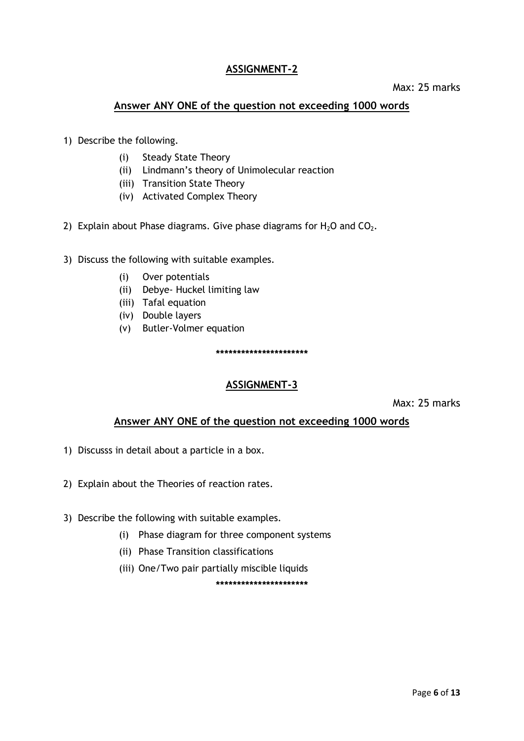# **ASSIGNMENT-2**

#### Max: 25 marks

### **Answer ANY ONE of the question not exceeding 1000 words**

- 1) Describe the following.
	- (i) Steady State Theory
	- (ii) Lindmann's theory of Unimolecular reaction
	- (iii) Transition State Theory
	- (iv) Activated Complex Theory
- 2) Explain about Phase diagrams. Give phase diagrams for  $H_2O$  and  $CO_2$ .
- 3) Discuss the following with suitable examples.
	- (i) Over potentials
	- (ii) Debye- Huckel limiting law
	- (iii) Tafal equation
	- (iv) Double layers
	- (v) Butler-Volmer equation

**\*\*\*\*\*\*\*\*\*\*\*\*\*\*\*\*\*\*\*\*\*\***

### **ASSIGNMENT-3**

Max: 25 marks

### **Answer ANY ONE of the question not exceeding 1000 words**

- 1) Discusss in detail about a particle in a box.
- 2) Explain about the Theories of reaction rates.
- 3) Describe the following with suitable examples.
	- (i) Phase diagram for three component systems
	- (ii) Phase Transition classifications
	- (iii) One/Two pair partially miscible liquids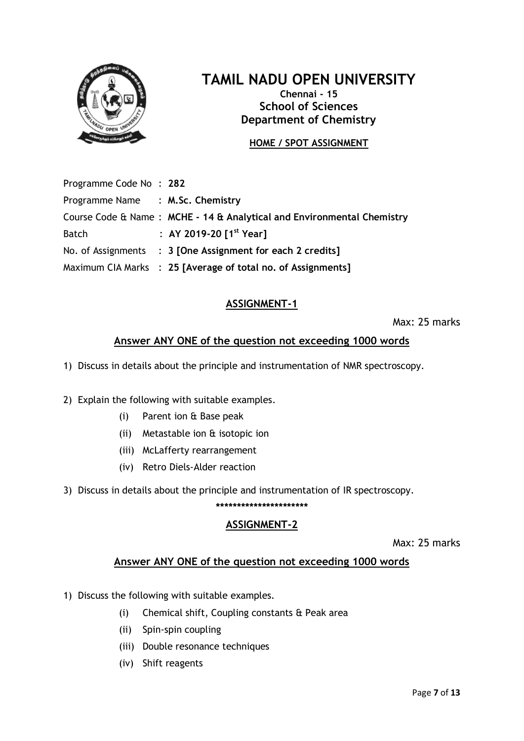

**Chennai - 15 School of Sciences Department of Chemistry**

# **HOME / SPOT ASSIGNMENT**

Programme Code No : **282** Programme Name : **M.Sc. Chemistry** Course Code & Name : **MCHE - 14 & Analytical and Environmental Chemistry** Batch : **AY 2019-20 [1 st Year]** No. of Assignments : **3 [One Assignment for each 2 credits]** Maximum CIA Marks : **25 [Average of total no. of Assignments]**

# **ASSIGNMENT-1**

Max: 25 marks

# **Answer ANY ONE of the question not exceeding 1000 words**

1) Discuss in details about the principle and instrumentation of NMR spectroscopy.

- 2) Explain the following with suitable examples.
	- (i) Parent ion & Base peak
	- (ii) Metastable ion & isotopic ion
	- (iii) McLafferty rearrangement
	- (iv) Retro Diels-Alder reaction

3) Discuss in details about the principle and instrumentation of IR spectroscopy.

# **\*\*\*\*\*\*\*\*\*\*\*\*\*\*\*\*\*\*\*\*\*\***

### **ASSIGNMENT-2**

Max: 25 marks

### **Answer ANY ONE of the question not exceeding 1000 words**

- 1) Discuss the following with suitable examples.
	- (i) Chemical shift, Coupling constants & Peak area
	- (ii) Spin-spin coupling
	- (iii) Double resonance techniques
	- (iv) Shift reagents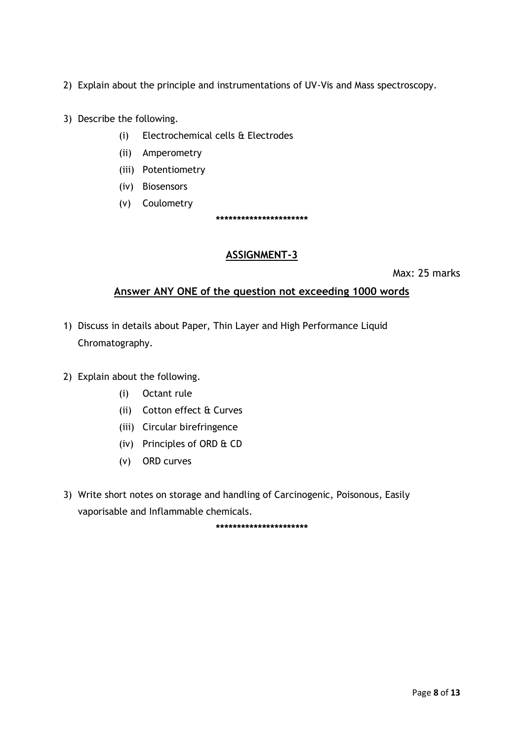- 2) Explain about the principle and instrumentations of UV-Vis and Mass spectroscopy.
- 3) Describe the following.
	- (i) Electrochemical cells & Electrodes
	- (ii) Amperometry
	- (iii) Potentiometry
	- (iv) Biosensors
	- (v) Coulometry

**\*\*\*\*\*\*\*\*\*\*\*\*\*\*\*\*\*\*\*\*\*\***

#### **ASSIGNMENT-3**

Max: 25 marks

### **Answer ANY ONE of the question not exceeding 1000 words**

- 1) Discuss in details about Paper, Thin Layer and High Performance Liquid Chromatography.
- 2) Explain about the following.
	- (i) Octant rule
	- (ii) Cotton effect & Curves
	- (iii) Circular birefringence
	- (iv) Principles of ORD & CD
	- (v) ORD curves
- 3) Write short notes on storage and handling of Carcinogenic, Poisonous, Easily vaporisable and Inflammable chemicals.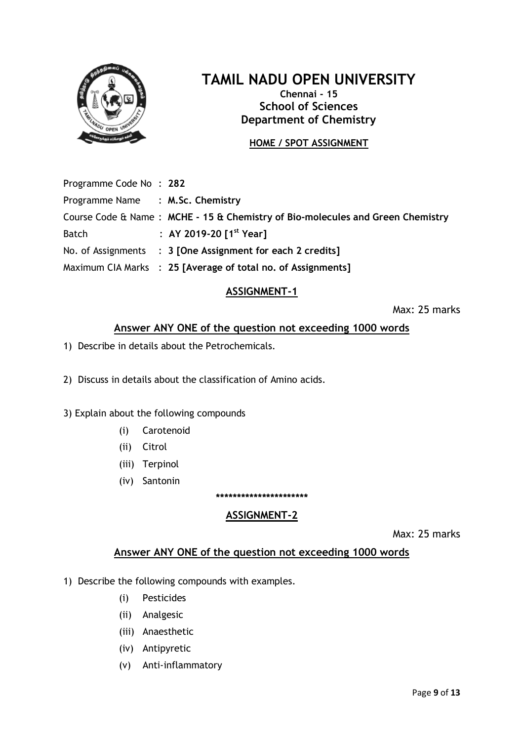

**Chennai - 15 School of Sciences Department of Chemistry**

# **HOME / SPOT ASSIGNMENT**

Programme Code No : **282**

Programme Name : **M.Sc. Chemistry** Course Code & Name : **MCHE - 15 & Chemistry of Bio-molecules and Green Chemistry** Batch : **AY 2019-20 [1 st Year]** No. of Assignments : **3 [One Assignment for each 2 credits]** Maximum CIA Marks : **25 [Average of total no. of Assignments]**

# **ASSIGNMENT-1**

Max: 25 marks

# **Answer ANY ONE of the question not exceeding 1000 words**

1) Describe in details about the Petrochemicals.

2) Discuss in details about the classification of Amino acids.

- 3) Explain about the following compounds
	- (i) Carotenoid
	- (ii) Citrol
	- (iii) Terpinol
	- (iv) Santonin

# **ASSIGNMENT-2**

**\*\*\*\*\*\*\*\*\*\*\*\*\*\*\*\*\*\*\*\*\*\***

Max: 25 marks

### **Answer ANY ONE of the question not exceeding 1000 words**

- 1) Describe the following compounds with examples.
	- (i) Pesticides
	- (ii) Analgesic
	- (iii) Anaesthetic
	- (iv) Antipyretic
	- (v) Anti-inflammatory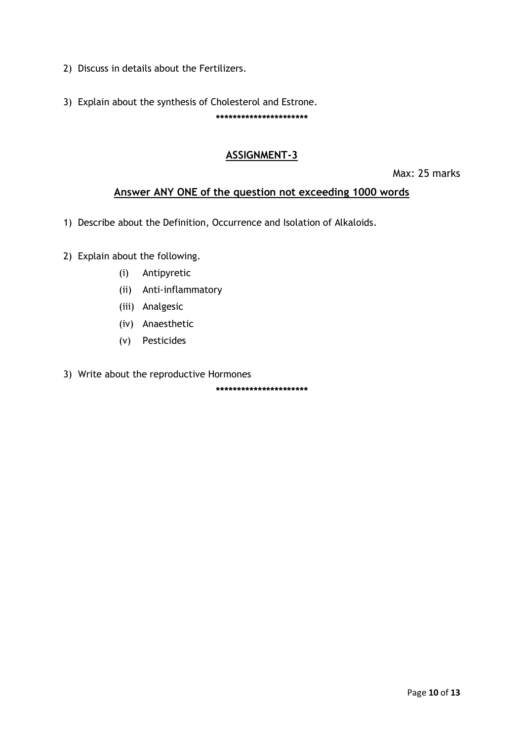- 2) Discuss in details about the Fertilizers.
- 3) Explain about the synthesis of Cholesterol and Estrone. **\*\*\*\*\*\*\*\*\*\*\*\*\*\*\*\*\*\*\*\*\*\***

# **ASSIGNMENT-3**

Max: 25 marks

# **Answer ANY ONE of the question not exceeding 1000 words**

- 1) Describe about the Definition, Occurrence and Isolation of Alkaloids.
- 2) Explain about the following.
	- (i) Antipyretic
	- (ii) Anti-inflammatory
	- (iii) Analgesic
	- (iv) Anaesthetic
	- (v) Pesticides
- 3) Write about the reproductive Hormones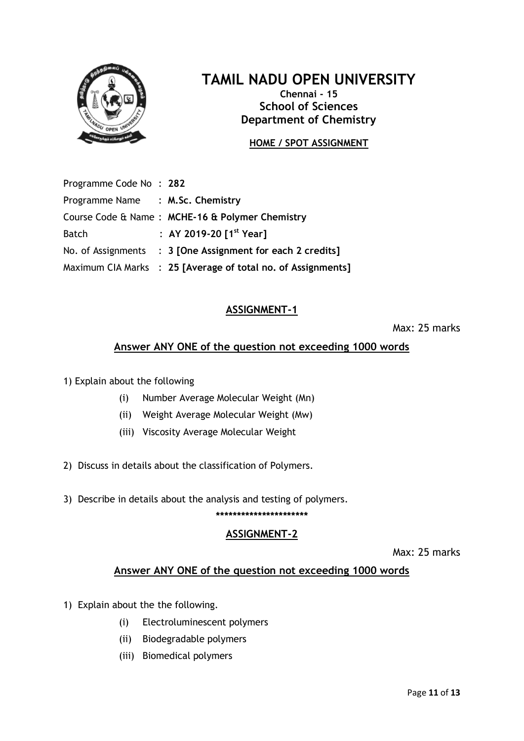

**Chennai - 15 School of Sciences Department of Chemistry**

# **HOME / SPOT ASSIGNMENT**

Programme Code No : **282** Programme Name : **M.Sc. Chemistry** Course Code & Name : **MCHE-16 & Polymer Chemistry** Batch : **AY 2019-20 [1 st Year]** No. of Assignments : **3 [One Assignment for each 2 credits]** Maximum CIA Marks : **25 [Average of total no. of Assignments]**

# **ASSIGNMENT-1**

Max: 25 marks

# **Answer ANY ONE of the question not exceeding 1000 words**

1) Explain about the following

- (i) Number Average Molecular Weight (Mn)
- (ii) Weight Average Molecular Weight (Mw)
- (iii) Viscosity Average Molecular Weight
- 2) Discuss in details about the classification of Polymers.
- 3) Describe in details about the analysis and testing of polymers.

#### **\*\*\*\*\*\*\*\*\*\*\*\*\*\*\*\*\*\*\*\*\*\***

#### **ASSIGNMENT-2**

Max: 25 marks

### **Answer ANY ONE of the question not exceeding 1000 words**

- 1) Explain about the the following.
	- (i) Electroluminescent polymers
	- (ii) Biodegradable polymers
	- (iii) Biomedical polymers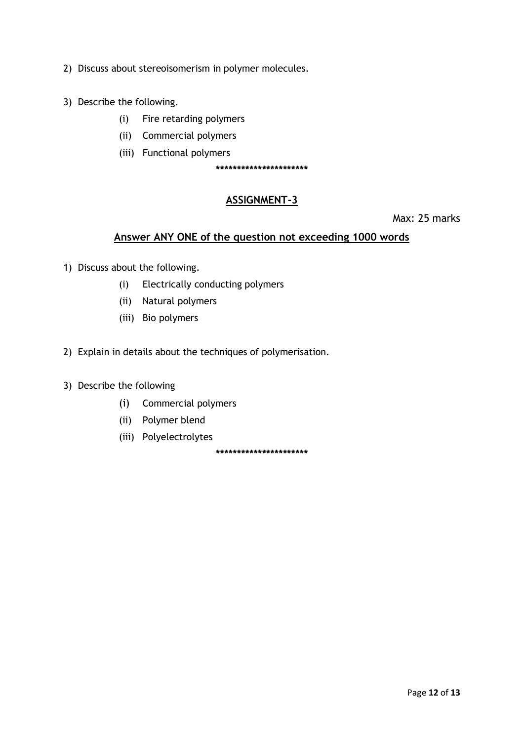- 2) Discuss about stereoisomerism in polymer molecules.
- 3) Describe the following.
	- (i) Fire retarding polymers
	- (ii) Commercial polymers
	- (iii) Functional polymers

**\*\*\*\*\*\*\*\*\*\*\*\*\*\*\*\*\*\*\*\*\*\***

### **ASSIGNMENT-3**

Max: 25 marks

#### **Answer ANY ONE of the question not exceeding 1000 words**

- 1) Discuss about the following.
	- (i) Electrically conducting polymers
	- (ii) Natural polymers
	- (iii) Bio polymers
- 2) Explain in details about the techniques of polymerisation.
- 3) Describe the following
	- (i) Commercial polymers
	- (ii) Polymer blend
	- (iii) Polyelectrolytes